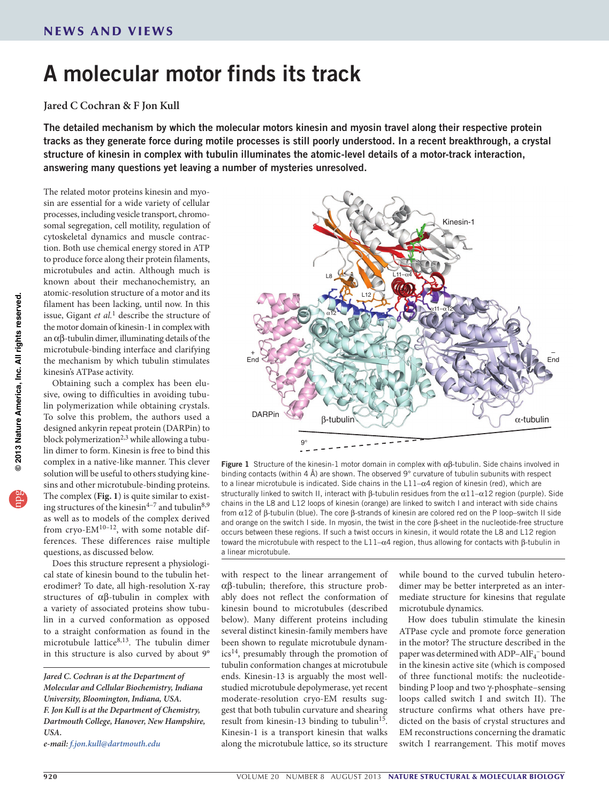## A molecular motor finds its track

## **Jared C Cochran & F Jon Kull**

The detailed mechanism by which the molecular motors kinesin and myosin travel along their respective protein tracks as they generate force during motile processes is still poorly understood. In a recent breakthrough, a crystal structure of kinesin in complex with tubulin illuminates the atomic-level details of a motor-track interaction, answering many questions yet leaving a number of mysteries unresolved.

The related motor proteins kinesin and myosin are essential for a wide variety of cellular processes, including vesicle transport, chromosomal segregation, cell motility, regulation of cytoskeletal dynamics and muscle contraction. Both use chemical energy stored in ATP to produce force along their protein filaments, microtubules and actin. Although much is known about their mechanochemistry, an atomic-resolution structure of a motor and its filament has been lacking, until now. In this issue, Gigant *et al.*1 describe the structure of the motor domain of kinesin-1 in complex with an αβ-tubulin dimer, illuminating details of the microtubule-binding interface and clarifying the mechanism by which tubulin stimulates kinesin's ATPase activity.

Obtaining such a complex has been elusive, owing to difficulties in avoiding tubulin polymerization while obtaining crystals. To solve this problem, the authors used a designed ankyrin repeat protein (DARPin) to block polymerization<sup>2,3</sup> while allowing a tubulin dimer to form. Kinesin is free to bind this complex in a native-like manner. This clever solution will be useful to others studying kinesins and other microtubule-binding proteins. The complex (**Fig. 1**) is quite similar to existing structures of the kinesin<sup>4-7</sup> and tubulin<sup>8,9</sup> as well as to models of the complex derived from cryo-EM<sup>10-12</sup>, with some notable differences. These differences raise multiple questions, as discussed below.

Does this structure represent a physiological state of kinesin bound to the tubulin heterodimer? To date, all high-resolution X-ray structures of αβ-tubulin in complex with a variety of associated proteins show tubulin in a curved conformation as opposed to a straight conformation as found in the microtubule lattice $8,13$ . The tubulin dimer in this structure is also curved by about 9°

*Jared C. Cochran is at the Department of Molecular and Cellular Biochemistry, Indiana University, Bloomington, Indiana, USA. F. Jon Kull is at the Department of Chemistry, Dartmouth College, Hanover, New Hampshire, USA.*

*e-mail: f.jon.kull@dartmouth.edu* 



**Figure 1** Structure of the kinesin-1 motor domain in complex with  $αβ$ -tubulin. Side chains involved in binding contacts (within 4 Å) are shown. The observed 9° curvature of tubulin subunits with respect to a linear microtubule is indicated. Side chains in the L11–α4 region of kinesin (red), which are structurally linked to switch II, interact with β-tubulin residues from the  $α11-α12$  region (purple). Side chains in the L8 and L12 loops of kinesin (orange) are linked to switch I and interact with side chains from  $\alpha$ 12 of β-tubulin (blue). The core β-strands of kinesin are colored red on the P loop–switch II side and orange on the switch I side. In myosin, the twist in the core β-sheet in the nucleotide-free structure occurs between these regions. If such a twist occurs in kinesin, it would rotate the L8 and L12 region toward the microtubule with respect to the L11– $α$ 4 region, thus allowing for contacts with β-tubulin in a linear microtubule.

with respect to the linear arrangement of αβ-tubulin; therefore, this structure probably does not reflect the conformation of kinesin bound to microtubules (described below). Many different proteins including several distinct kinesin-family members have been shown to regulate microtubule dynamics14, presumably through the promotion of tubulin conformation changes at microtubule ends. Kinesin-13 is arguably the most wellstudied microtubule depolymerase, yet recent moderate-resolution cryo-EM results suggest that both tubulin curvature and shearing result from kinesin-13 binding to tubulin<sup>15</sup>. Kinesin-1 is a transport kinesin that walks along the microtubule lattice, so its structure

while bound to the curved tubulin heterodimer may be better interpreted as an intermediate structure for kinesins that regulate microtubule dynamics.

How does tubulin stimulate the kinesin ATPase cycle and promote force generation in the motor? The structure described in the paper was determined with  ${\rm ADP\text{--}AlF_4^-}$  bound in the kinesin active site (which is composed of three functional motifs: the nucleotidebinding P loop and two γ-phosphate–sensing loops called switch I and switch II). The structure confirms what others have predicted on the basis of crystal structures and EM reconstructions concerning the dramatic switch I rearrangement. This motif moves